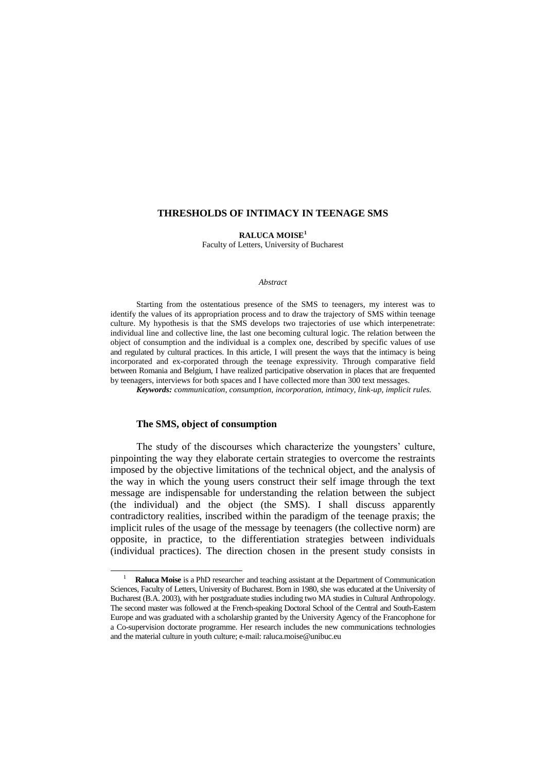### **THRESHOLDS OF INTIMACY IN TEENAGE SMS**

**RALUCA MOISE<sup>1</sup>** Faculty of Letters, University of Bucharest

#### *Abstract*

Starting from the ostentatious presence of the SMS to teenagers, my interest was to identify the values of its appropriation process and to draw the trajectory of SMS within teenage culture. My hypothesis is that the SMS develops two trajectories of use which interpenetrate: individual line and collective line, the last one becoming cultural logic. The relation between the object of consumption and the individual is a complex one, described by specific values of use and regulated by cultural practices. In this article, I will present the ways that the intimacy is being incorporated and ex-corporated through the teenage expressivity. Through comparative field between Romania and Belgium, I have realized participative observation in places that are frequented by teenagers, interviews for both spaces and I have collected more than 300 text messages.

*Keywords: communication, consumption, incorporation, intimacy, link-up, implicit rules.*

# **The SMS, object of consumption**

 $\overline{a}$ 

The study of the discourses which characterize the youngsters' culture, pinpointing the way they elaborate certain strategies to overcome the restraints imposed by the objective limitations of the technical object, and the analysis of the way in which the young users construct their self image through the text message are indispensable for understanding the relation between the subject (the individual) and the object (the SMS). I shall discuss apparently contradictory realities, inscribed within the paradigm of the teenage praxis; the implicit rules of the usage of the message by teenagers (the collective norm) are opposite, in practice, to the differentiation strategies between individuals (individual practices). The direction chosen in the present study consists in

<sup>1</sup> **Raluca Moise** is a PhD researcher and teaching assistant at the Department of Communication Sciences, Faculty of Letters, University of Bucharest. Born in 1980, she was educated at the University of Bucharest (B.A. 2003), with her postgraduate studies including two MA studies in Cultural Anthropology. The second master was followed at the French-speaking Doctoral School of the Central and South-Eastern Europe and was graduated with a scholarship granted by the University Agency of the Francophone for a Co-supervision doctorate programme. Her research includes the new communications technologies and the material culture in youth culture; e-mail: raluca.moise@unibuc.eu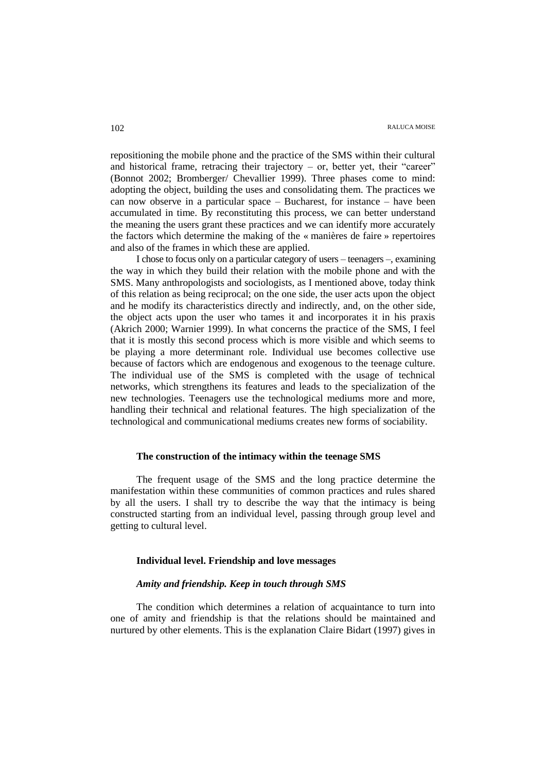repositioning the mobile phone and the practice of the SMS within their cultural and historical frame, retracing their trajectory  $-$  or, better yet, their "career" (Bonnot 2002; Bromberger/ Chevallier 1999). Three phases come to mind: adopting the object, building the uses and consolidating them. The practices we can now observe in a particular space – Bucharest, for instance – have been accumulated in time. By reconstituting this process, we can better understand the meaning the users grant these practices and we can identify more accurately the factors which determine the making of the « manières de faire » repertoires and also of the frames in which these are applied.

I chose to focus only on a particular category of users – teenagers –, examining the way in which they build their relation with the mobile phone and with the SMS. Many anthropologists and sociologists, as I mentioned above, today think of this relation as being reciprocal; on the one side, the user acts upon the object and he modify its characteristics directly and indirectly, and, on the other side, the object acts upon the user who tames it and incorporates it in his praxis (Akrich 2000; Warnier 1999). In what concerns the practice of the SMS, I feel that it is mostly this second process which is more visible and which seems to be playing a more determinant role. Individual use becomes collective use because of factors which are endogenous and exogenous to the teenage culture. The individual use of the SMS is completed with the usage of technical networks, which strengthens its features and leads to the specialization of the new technologies. Teenagers use the technological mediums more and more, handling their technical and relational features. The high specialization of the technological and communicational mediums creates new forms of sociability.

### **The construction of the intimacy within the teenage SMS**

The frequent usage of the SMS and the long practice determine the manifestation within these communities of common practices and rules shared by all the users. I shall try to describe the way that the intimacy is being constructed starting from an individual level, passing through group level and getting to cultural level.

### **Individual level. Friendship and love messages**

# *Amity and friendship. Keep in touch through SMS*

The condition which determines a relation of acquaintance to turn into one of amity and friendship is that the relations should be maintained and nurtured by other elements. This is the explanation Claire Bidart (1997) gives in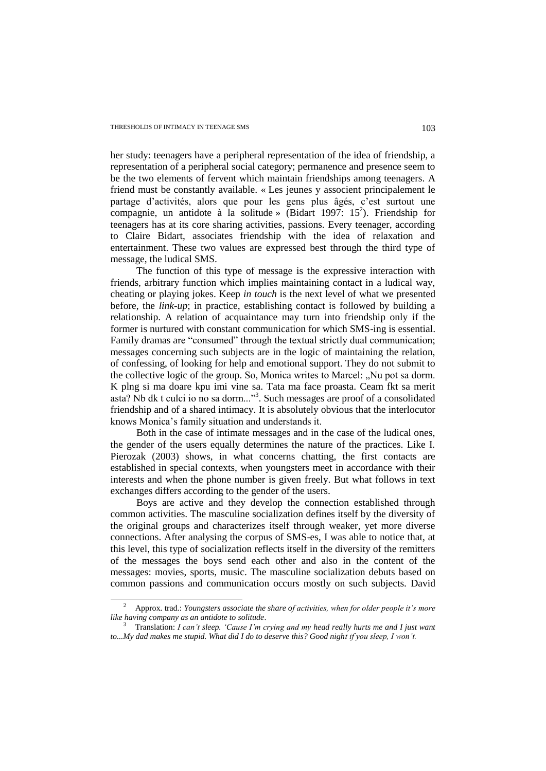$\overline{a}$ 

her study: teenagers have a peripheral representation of the idea of friendship, a representation of a peripheral social category; permanence and presence seem to be the two elements of fervent which maintain friendships among teenagers. A friend must be constantly available. « Les jeunes y associent principalement le partage d'activités, alors que pour les gens plus âgés, c'est surtout une compagnie, un antidote à la solitude » (Bidart 1997:  $15^2$ ). Friendship for teenagers has at its core sharing activities, passions. Every teenager, according to Claire Bidart, associates friendship with the idea of relaxation and entertainment. These two values are expressed best through the third type of message, the ludical SMS.

The function of this type of message is the expressive interaction with friends, arbitrary function which implies maintaining contact in a ludical way, cheating or playing jokes. Keep *in touch* is the next level of what we presented before, the *link-up*; in practice, establishing contact is followed by building a relationship. A relation of acquaintance may turn into friendship only if the former is nurtured with constant communication for which SMS-ing is essential. Family dramas are "consumed" through the textual strictly dual communication; messages concerning such subjects are in the logic of maintaining the relation, of confessing, of looking for help and emotional support. They do not submit to the collective logic of the group. So, Monica writes to Marcel: "Nu pot sa dorm. K plng si ma doare kpu imi vine sa. Tata ma face proasta. Ceam fkt sa merit asta? Nb dk t culci io no sa dorm..."<sup>3</sup>. Such messages are proof of a consolidated friendship and of a shared intimacy. It is absolutely obvious that the interlocutor knows Monica"s family situation and understands it.

Both in the case of intimate messages and in the case of the ludical ones, the gender of the users equally determines the nature of the practices. Like I. Pierozak (2003) shows, in what concerns chatting, the first contacts are established in special contexts, when youngsters meet in accordance with their interests and when the phone number is given freely. But what follows in text exchanges differs according to the gender of the users.

Boys are active and they develop the connection established through common activities. The masculine socialization defines itself by the diversity of the original groups and characterizes itself through weaker, yet more diverse connections. After analysing the corpus of SMS-es, I was able to notice that, at this level, this type of socialization reflects itself in the diversity of the remitters of the messages the boys send each other and also in the content of the messages: movies, sports, music. The masculine socialization debuts based on common passions and communication occurs mostly on such subjects. David

<sup>2</sup> Approx. trad.: *Youngsters associate the share of activities, when for older people it"s more like having company as an antidote to solitude*.

<sup>3</sup> Translation: *I can"t sleep. "Cause I"m crying and my head really hurts me and I just want to...My dad makes me stupid. What did I do to deserve this? Good night if you sleep, I won"t.*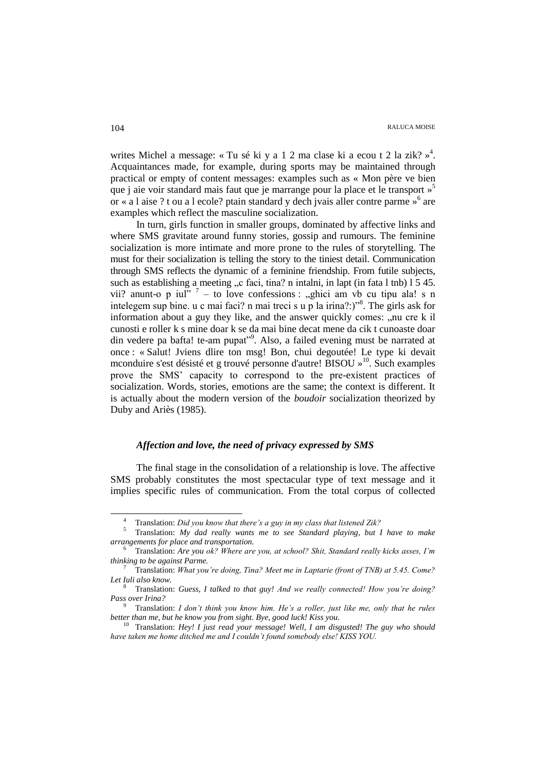writes Michel a message: «Tu sé ki y a 1 2 ma clase ki a ecou t 2 la zik?»<sup>4</sup>. Acquaintances made, for example, during sports may be maintained through practical or empty of content messages: examples such as « Mon père ve bien que j aie voir standard mais faut que je marrange pour la place et le transport » 5 or « a l aise ? t ou a l ecole? ptain standard y dech jvais aller contre parme »<sup>6</sup> are examples which reflect the masculine socialization.

In turn, girls function in smaller groups, dominated by affective links and where SMS gravitate around funny stories, gossip and rumours. The feminine socialization is more intimate and more prone to the rules of storytelling. The must for their socialization is telling the story to the tiniest detail. Communication through SMS reflects the dynamic of a feminine friendship. From futile subjects, such as establishing a meeting  $\alpha$  faci, tina? n intalni, in lapt (in fata l tnb) 1 5 45. vii? anunt-o p iul<sup>"?</sup> – to love confessions : "ghici am vb cu tipu ala! s n intelegem sup bine. u c mai faci? n mai treci s u p la irina?:)"<sup>8</sup>. The girls ask for information about a guy they like, and the answer quickly comes:  $\ldots$  nu cre k il cunosti e roller k s mine doar k se da mai bine decat mene da cik t cunoaste doar din vedere pa bafta! te-am pupat"<sup>9</sup>. Also, a failed evening must be narrated at once : « Salut! Jviens dlire ton msg! Bon, chui degoutée! Le type ki devait mconduire s'est désisté et g trouvé personne d'autre! BISOU » <sup>10</sup>. Such examples prove the SMS" capacity to correspond to the pre-existent practices of socialization. Words, stories, emotions are the same; the context is different. It is actually about the modern version of the *boudoir* socialization theorized by Duby and Ariès (1985).

# *Affection and love, the need of privacy expressed by SMS*

The final stage in the consolidation of a relationship is love. The affective SMS probably constitutes the most spectacular type of text message and it implies specific rules of communication. From the total corpus of collected

<sup>4</sup> Translation: *Did you know that there"s a guy in my class that listened Zik?*

<sup>5</sup> Translation: *My dad really wants me to see Standard playing, but I have to make arrangements for place and transportation.*

<sup>6</sup> Translation: *Are you ok? Where are you, at school? Shit, Standard really kicks asses, I"m thinking to be against Parme.*

<sup>7</sup> Translation: *What you"re doing, Tina? Meet me in Laptarie (front of TNB) at 5.45. Come? Let Iuli also know.*

<sup>8</sup> Translation: *Guess, I talked to that guy! And we really connected! How you"re doing? Pass over Irina?*

<sup>9</sup> Translation: *I don"t think you know him. He"s a roller, just like me, only that he rules better than me, but he know you from sight. Bye, good luck! Kiss you.*

<sup>10</sup> Translation: *Hey! I just read your message! Well, I am disgusted! The guy who should have taken me home ditched me and I couldn"t found somebody else! KISS YOU.*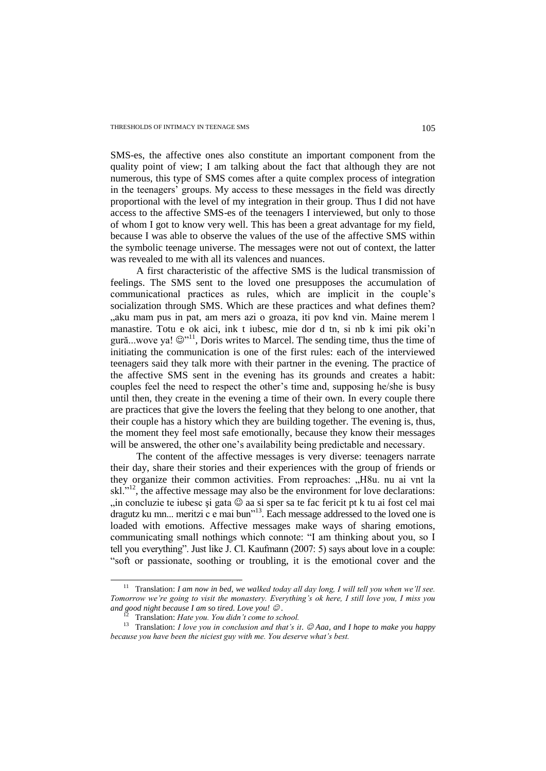SMS-es, the affective ones also constitute an important component from the quality point of view; I am talking about the fact that although they are not numerous, this type of SMS comes after a quite complex process of integration in the teenagers' groups. My access to these messages in the field was directly proportional with the level of my integration in their group. Thus I did not have access to the affective SMS-es of the teenagers I interviewed, but only to those of whom I got to know very well. This has been a great advantage for my field, because I was able to observe the values of the use of the affective SMS within the symbolic teenage universe. The messages were not out of context, the latter was revealed to me with all its valences and nuances.

A first characteristic of the affective SMS is the ludical transmission of feelings. The SMS sent to the loved one presupposes the accumulation of communicational practices as rules, which are implicit in the couple"s socialization through SMS. Which are these practices and what defines them? "aku mam pus in pat, am mers azi o groaza, iti pov knd vin. Maine merem l manastire. Totu e ok aici, ink t iubesc, mie dor d tn, si nb k imi pik oki"n gură...wove ya!  $\mathbb{Q}^{\nu 11}$ , Doris writes to Marcel. The sending time, thus the time of initiating the communication is one of the first rules: each of the interviewed teenagers said they talk more with their partner in the evening. The practice of the affective SMS sent in the evening has its grounds and creates a habit: couples feel the need to respect the other"s time and, supposing he/she is busy until then, they create in the evening a time of their own. In every couple there are practices that give the lovers the feeling that they belong to one another, that their couple has a history which they are building together. The evening is, thus, the moment they feel most safe emotionally, because they know their messages will be answered, the other one's availability being predictable and necessary.

The content of the affective messages is very diverse: teenagers narrate their day, share their stories and their experiences with the group of friends or they organize their common activities. From reproaches: "H8u. nu ai vnt la skl." $\mu$ <sup>12</sup>, the affective message may also be the environment for love declarations: , in concluzie te iubesc și gata  $\odot$  aa si sper sa te fac fericit pt k tu ai fost cel mai  $\frac{1}{2}$  dragutz ku mn... meritzi c e mai bun<sup> $\frac{13}{2}$ </sup>. Each message addressed to the loved one is loaded with emotions. Affective messages make ways of sharing emotions, communicating small nothings which connote: "I am thinking about you, so I tell you everything". Just like J. Cl. Kaufmann (2007: 5) says about love in a couple: "soft or passionate, soothing or troubling, it is the emotional cover and the

<sup>&</sup>lt;sup>11</sup> Translation: *I am now in bed, we walked today all day long, I will tell you when we'll see. Tomorrow we"re going to visit the monastery. Everything"s ok here, I still love you, I miss you and good night because I am so tired. Love you!*  $\mathcal{O}.$ 

<sup>12</sup> Translation: *Hate you. You didn"t come to school.* 

<sup>&</sup>lt;sup>13</sup> Translation: *I love you in conclusion and that's it.* © Aaa, and *I hope to make you happy because you have been the niciest guy with me. You deserve what"s best.*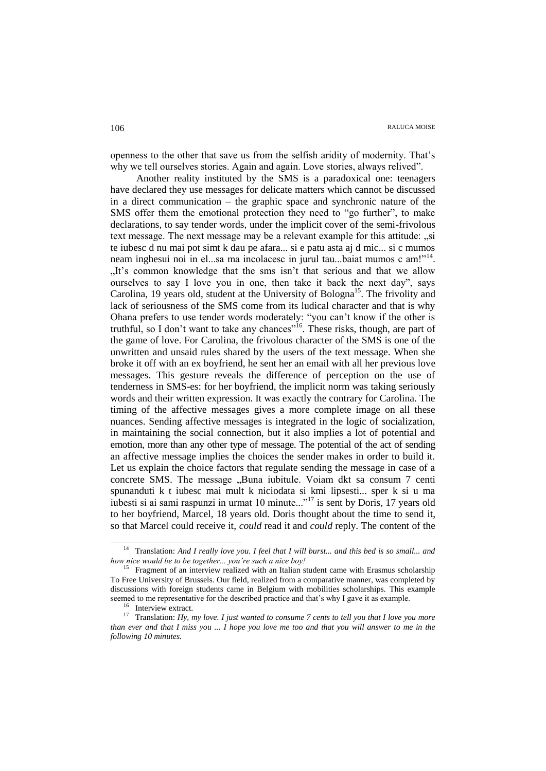openness to the other that save us from the selfish aridity of modernity. That"s why we tell ourselves stories. Again and again. Love stories, always relived".

Another reality instituted by the SMS is a paradoxical one: teenagers have declared they use messages for delicate matters which cannot be discussed in a direct communication – the graphic space and synchronic nature of the SMS offer them the emotional protection they need to "go further", to make declarations, to say tender words, under the implicit cover of the semi-frivolous text message. The next message may be a relevant example for this attitude: "si te iubesc d nu mai pot simt k dau pe afara... si e patu asta aj d mic... si c mumos neam inghesui noi in el...sa ma incolacesc in jurul tau...baiat mumos c am!"<sup>14</sup>. "It's common knowledge that the sms isn't that serious and that we allow ourselves to say I love you in one, then take it back the next day", says Carolina, 19 years old, student at the University of Bologna<sup>15</sup>. The frivolity and lack of seriousness of the SMS come from its ludical character and that is why Ohana prefers to use tender words moderately: "you can't know if the other is truthful, so I don't want to take any chances<sup>"16</sup>. These risks, though, are part of the game of love. For Carolina, the frivolous character of the SMS is one of the unwritten and unsaid rules shared by the users of the text message. When she broke it off with an ex boyfriend, he sent her an email with all her previous love messages. This gesture reveals the difference of perception on the use of tenderness in SMS-es: for her boyfriend, the implicit norm was taking seriously words and their written expression. It was exactly the contrary for Carolina. The timing of the affective messages gives a more complete image on all these nuances. Sending affective messages is integrated in the logic of socialization, in maintaining the social connection, but it also implies a lot of potential and emotion, more than any other type of message. The potential of the act of sending an affective message implies the choices the sender makes in order to build it. Let us explain the choice factors that regulate sending the message in case of a concrete SMS. The message "Buna iubitule. Voiam dkt sa consum 7 centi spunanduti k t iubesc mai mult k niciodata si kmi lipsesti... sper k si u ma iubesti si ai sami raspunzi in urmat 10 minute..."<sup>17</sup> is sent by Doris, 17 years old to her boyfriend, Marcel, 18 years old. Doris thought about the time to send it, so that Marcel could receive it, *could* read it and *could* reply. The content of the

<sup>14</sup> Translation: *And I really love you. I feel that I will burst... and this bed is so small... and how nice would be to be together... you"re such a nice boy!* 

<sup>&</sup>lt;sup>15</sup> Fragment of an interview realized with an Italian student came with Erasmus scholarship To Free University of Brussels. Our field, realized from a comparative manner, was completed by discussions with foreign students came in Belgium with mobilities scholarships. This example seemed to me representative for the described practice and that"s why I gave it as example.

<sup>&</sup>lt;sup>16</sup> Interview extract.

<sup>17</sup> Translation: *Hy, my love. I just wanted to consume 7 cents to tell you that I love you more than ever and that I miss you ... I hope you love me too and that you will answer to me in the following 10 minutes.*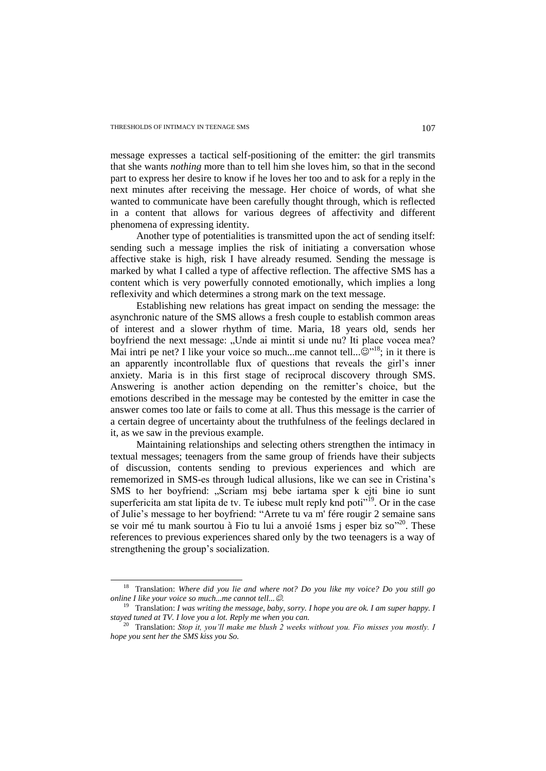$\overline{a}$ 

message expresses a tactical self-positioning of the emitter: the girl transmits that she wants *nothing* more than to tell him she loves him, so that in the second part to express her desire to know if he loves her too and to ask for a reply in the next minutes after receiving the message. Her choice of words, of what she wanted to communicate have been carefully thought through, which is reflected in a content that allows for various degrees of affectivity and different phenomena of expressing identity.

Another type of potentialities is transmitted upon the act of sending itself: sending such a message implies the risk of initiating a conversation whose affective stake is high, risk I have already resumed. Sending the message is marked by what I called a type of affective reflection. The affective SMS has a content which is very powerfully connoted emotionally, which implies a long reflexivity and which determines a strong mark on the text message.

Establishing new relations has great impact on sending the message: the asynchronic nature of the SMS allows a fresh couple to establish common areas of interest and a slower rhythm of time. Maria, 18 years old, sends her boyfriend the next message: "Unde ai mintit si unde nu? Iti place vocea mea? Mai intri pe net? I like your voice so much...me cannot tell... $\mathbb{Q}^{"18}$ ; in it there is an apparently incontrollable flux of questions that reveals the girl's inner anxiety. Maria is in this first stage of reciprocal discovery through SMS. Answering is another action depending on the remitter's choice, but the emotions described in the message may be contested by the emitter in case the answer comes too late or fails to come at all. Thus this message is the carrier of a certain degree of uncertainty about the truthfulness of the feelings declared in it, as we saw in the previous example.

Maintaining relationships and selecting others strengthen the intimacy in textual messages; teenagers from the same group of friends have their subjects of discussion, contents sending to previous experiences and which are rememorized in SMS-es through ludical allusions, like we can see in Cristina"s SMS to her boyfriend: "Scriam msj bebe iartama sper k ejti bine io sunt superfericita am stat lipita de tv. Te iubesc mult reply knd poti $19^9$ . Or in the case of Julie's message to her boyfriend: "Arrete tu va m' fére rougir 2 semaine sans se voir mé tu mank sourtou à Fio tu lui a anvoié 1sms j esper biz so<sup>120</sup>. These references to previous experiences shared only by the two teenagers is a way of strengthening the group's socialization.

<sup>18</sup> Translation: *Where did you lie and where not? Do you like my voice? Do you still go online I like your voice so much...me cannot tell....*

<sup>19</sup> Translation: *I was writing the message, baby, sorry. I hope you are ok. I am super happy. I stayed tuned at TV. I love you a lot. Reply me when you can.*

<sup>20</sup> Translation: *Stop it, you"ll make me blush 2 weeks without you. Fio misses you mostly. I hope you sent her the SMS kiss you So.*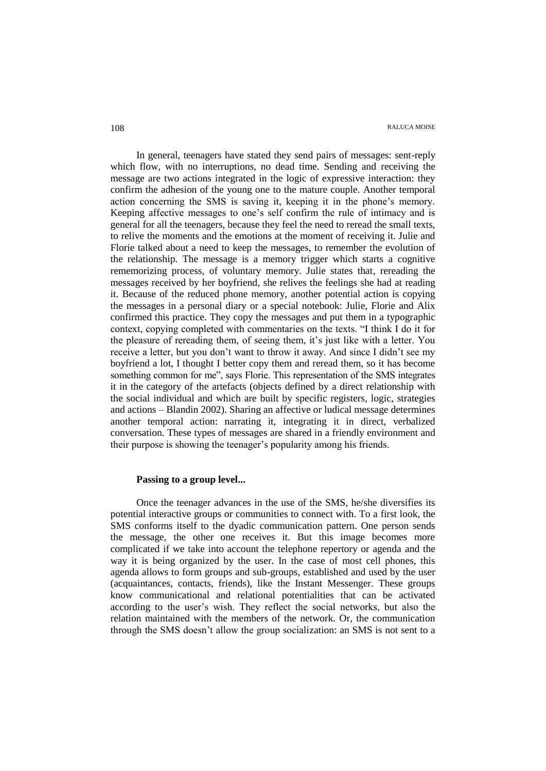In general, teenagers have stated they send pairs of messages: sent-reply which flow, with no interruptions, no dead time. Sending and receiving the message are two actions integrated in the logic of expressive interaction: they confirm the adhesion of the young one to the mature couple. Another temporal action concerning the SMS is saving it, keeping it in the phone"s memory. Keeping affective messages to one"s self confirm the rule of intimacy and is general for all the teenagers, because they feel the need to reread the small texts, to relive the moments and the emotions at the moment of receiving it. Julie and Florie talked about a need to keep the messages, to remember the evolution of the relationship. The message is a memory trigger which starts a cognitive rememorizing process, of voluntary memory. Julie states that, rereading the messages received by her boyfriend, she relives the feelings she had at reading it. Because of the reduced phone memory, another potential action is copying the messages in a personal diary or a special notebook: Julie, Florie and Alix confirmed this practice. They copy the messages and put them in a typographic context, copying completed with commentaries on the texts. "I think I do it for the pleasure of rereading them, of seeing them, it"s just like with a letter. You receive a letter, but you don"t want to throw it away. And since I didn"t see my boyfriend a lot, I thought I better copy them and reread them, so it has become something common for me", says Florie. This representation of the SMS integrates it in the category of the artefacts (objects defined by a direct relationship with the social individual and which are built by specific registers, logic, strategies and actions – Blandin 2002). Sharing an affective or ludical message determines another temporal action: narrating it, integrating it in direct, verbalized conversation. These types of messages are shared in a friendly environment and their purpose is showing the teenager"s popularity among his friends.

# **Passing to a group level...**

Once the teenager advances in the use of the SMS, he/she diversifies its potential interactive groups or communities to connect with. To a first look, the SMS conforms itself to the dyadic communication pattern. One person sends the message, the other one receives it. But this image becomes more complicated if we take into account the telephone repertory or agenda and the way it is being organized by the user. In the case of most cell phones, this agenda allows to form groups and sub-groups, established and used by the user (acquaintances, contacts, friends), like the Instant Messenger. These groups know communicational and relational potentialities that can be activated according to the user"s wish. They reflect the social networks, but also the relation maintained with the members of the network. Or, the communication through the SMS doesn"t allow the group socialization: an SMS is not sent to a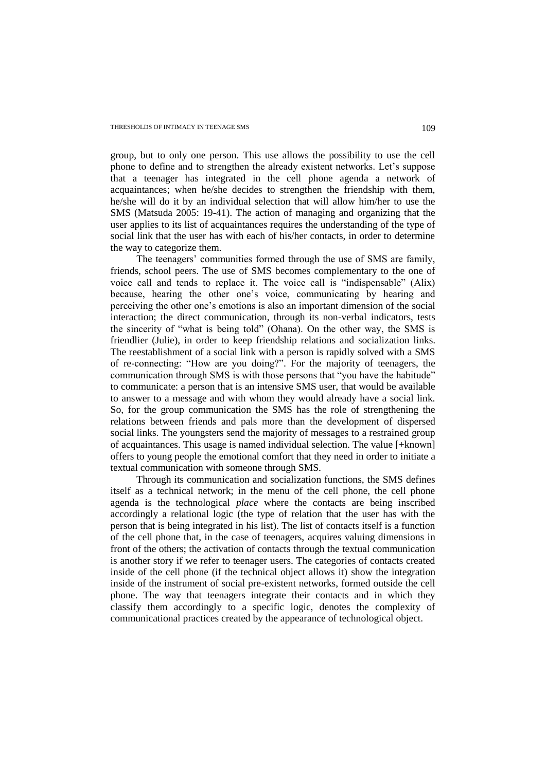group, but to only one person. This use allows the possibility to use the cell phone to define and to strengthen the already existent networks. Let"s suppose that a teenager has integrated in the cell phone agenda a network of acquaintances; when he/she decides to strengthen the friendship with them, he/she will do it by an individual selection that will allow him/her to use the SMS (Matsuda 2005: 19-41). The action of managing and organizing that the user applies to its list of acquaintances requires the understanding of the type of social link that the user has with each of his/her contacts, in order to determine the way to categorize them.

The teenagers' communities formed through the use of SMS are family, friends, school peers. The use of SMS becomes complementary to the one of voice call and tends to replace it. The voice call is "indispensable" (Alix) because, hearing the other one"s voice, communicating by hearing and perceiving the other one"s emotions is also an important dimension of the social interaction; the direct communication, through its non-verbal indicators, tests the sincerity of "what is being told" (Ohana). On the other way, the SMS is friendlier (Julie), in order to keep friendship relations and socialization links. The reestablishment of a social link with a person is rapidly solved with a SMS of re-connecting: "How are you doing?". For the majority of teenagers, the communication through SMS is with those persons that "you have the habitude" to communicate: a person that is an intensive SMS user, that would be available to answer to a message and with whom they would already have a social link. So, for the group communication the SMS has the role of strengthening the relations between friends and pals more than the development of dispersed social links. The youngsters send the majority of messages to a restrained group of acquaintances. This usage is named individual selection. The value [+known] offers to young people the emotional comfort that they need in order to initiate a textual communication with someone through SMS.

Through its communication and socialization functions, the SMS defines itself as a technical network; in the menu of the cell phone, the cell phone agenda is the technological *place* where the contacts are being inscribed accordingly a relational logic (the type of relation that the user has with the person that is being integrated in his list). The list of contacts itself is a function of the cell phone that, in the case of teenagers, acquires valuing dimensions in front of the others; the activation of contacts through the textual communication is another story if we refer to teenager users. The categories of contacts created inside of the cell phone (if the technical object allows it) show the integration inside of the instrument of social pre-existent networks, formed outside the cell phone. The way that teenagers integrate their contacts and in which they classify them accordingly to a specific logic, denotes the complexity of communicational practices created by the appearance of technological object.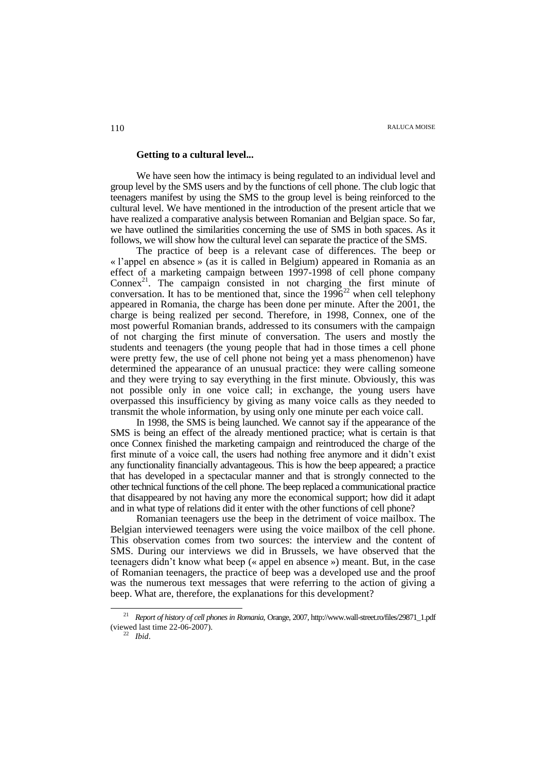### **Getting to a cultural level...**

We have seen how the intimacy is being regulated to an individual level and group level by the SMS users and by the functions of cell phone. The club logic that teenagers manifest by using the SMS to the group level is being reinforced to the cultural level. We have mentioned in the introduction of the present article that we have realized a comparative analysis between Romanian and Belgian space. So far, we have outlined the similarities concerning the use of SMS in both spaces. As it follows, we will show how the cultural level can separate the practice of the SMS.

The practice of beep is a relevant case of differences. The beep or « l"appel en absence » (as it is called in Belgium) appeared in Romania as an effect of a marketing campaign between 1997-1998 of cell phone company Connex<sup>21</sup>. The campaign consisted in not charging the first minute of conversation. It has to be mentioned that, since the  $1996^{22}$  when cell telephony appeared in Romania, the charge has been done per minute. After the 2001, the charge is being realized per second. Therefore, in 1998, Connex, one of the most powerful Romanian brands, addressed to its consumers with the campaign of not charging the first minute of conversation. The users and mostly the students and teenagers (the young people that had in those times a cell phone were pretty few, the use of cell phone not being yet a mass phenomenon) have determined the appearance of an unusual practice: they were calling someone and they were trying to say everything in the first minute. Obviously, this was not possible only in one voice call; in exchange, the young users have overpassed this insufficiency by giving as many voice calls as they needed to transmit the whole information, by using only one minute per each voice call.

In 1998, the SMS is being launched. We cannot say if the appearance of the SMS is being an effect of the already mentioned practice; what is certain is that once Connex finished the marketing campaign and reintroduced the charge of the first minute of a voice call, the users had nothing free anymore and it didn"t exist any functionality financially advantageous. This is how the beep appeared; a practice that has developed in a spectacular manner and that is strongly connected to the other technical functions of the cell phone. The beep replaced a communicational practice that disappeared by not having any more the economical support; how did it adapt and in what type of relations did it enter with the other functions of cell phone?

Romanian teenagers use the beep in the detriment of voice mailbox. The Belgian interviewed teenagers were using the voice mailbox of the cell phone. This observation comes from two sources: the interview and the content of SMS. During our interviews we did in Brussels, we have observed that the teenagers didn"t know what beep (« appel en absence ») meant. But, in the case of Romanian teenagers, the practice of beep was a developed use and the proof was the numerous text messages that were referring to the action of giving a beep. What are, therefore, the explanations for this development?

<sup>21</sup> *Report of history of cell phones in Romania,* Orange, 2007[, http://www.wall-street.ro/files/29871\\_1.pdf](http://www.wall-street.ro/files/29871_1.pdf) (viewed last time 22-06-2007).

<sup>22</sup> *Ibid*.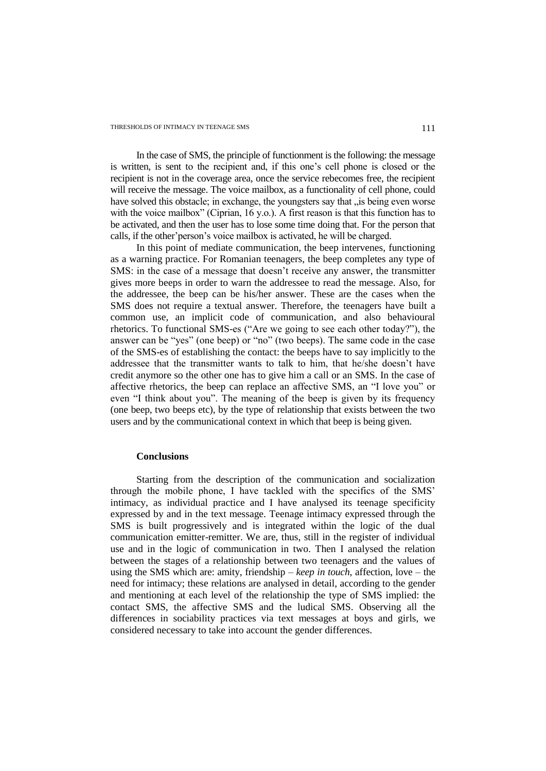In the case of SMS, the principle of functionment is the following: the message is written, is sent to the recipient and, if this one"s cell phone is closed or the recipient is not in the coverage area, once the service rebecomes free, the recipient will receive the message. The voice mailbox, as a functionality of cell phone, could have solved this obstacle; in exchange, the youngsters say that , is being even worse with the voice mailbox" (Ciprian, 16 y.o.). A first reason is that this function has to be activated, and then the user has to lose some time doing that. For the person that calls, if the other"person"s voice mailbox is activated, he will be charged.

In this point of mediate communication, the beep intervenes, functioning as a warning practice. For Romanian teenagers, the beep completes any type of SMS: in the case of a message that doesn't receive any answer, the transmitter gives more beeps in order to warn the addressee to read the message. Also, for the addressee, the beep can be his/her answer. These are the cases when the SMS does not require a textual answer. Therefore, the teenagers have built a common use, an implicit code of communication, and also behavioural rhetorics. To functional SMS-es ("Are we going to see each other today?"), the answer can be "yes" (one beep) or "no" (two beeps). The same code in the case of the SMS-es of establishing the contact: the beeps have to say implicitly to the addressee that the transmitter wants to talk to him, that he/she doesn"t have credit anymore so the other one has to give him a call or an SMS. In the case of affective rhetorics, the beep can replace an affective SMS, an "I love you" or even "I think about you". The meaning of the beep is given by its frequency (one beep, two beeps etc), by the type of relationship that exists between the two users and by the communicational context in which that beep is being given.

### **Conclusions**

Starting from the description of the communication and socialization through the mobile phone, I have tackled with the specifics of the SMS" intimacy, as individual practice and I have analysed its teenage specificity expressed by and in the text message. Teenage intimacy expressed through the SMS is built progressively and is integrated within the logic of the dual communication emitter-remitter. We are, thus, still in the register of individual use and in the logic of communication in two. Then I analysed the relation between the stages of a relationship between two teenagers and the values of using the SMS which are: amity, friendship – *keep in touch*, affection, love – the need for intimacy; these relations are analysed in detail, according to the gender and mentioning at each level of the relationship the type of SMS implied: the contact SMS, the affective SMS and the ludical SMS. Observing all the differences in sociability practices via text messages at boys and girls, we considered necessary to take into account the gender differences.